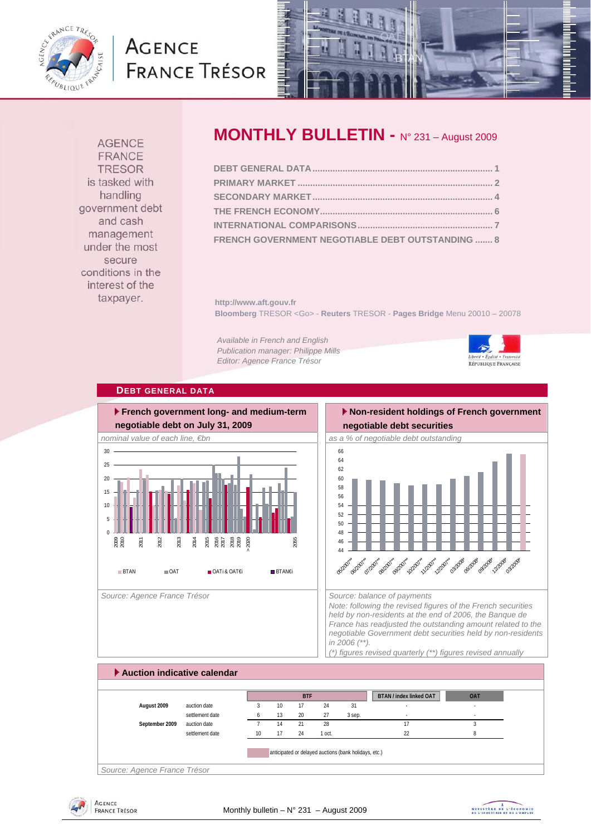

# **AGENCE FRANCE TRÉSOR**



**AGENCE FRANCE TRESOR** is tasked with handling government debt and cash management under the most secure conditions in the interest of the taxpayer.

# **MONTHLY BULLETIN -** N° 231 – August 2009

| FRENCH GOVERNMENT NEGOTIABLE DEBT OUTSTANDING  8 |  |
|--------------------------------------------------|--|

**http://www.aft.gouv.fr Bloomberg** TRESOR <Go> - **Reuters** TRESOR - **Pages Bridge** Menu 20010 – 20078

*Available in French and English Publication manager: Philippe Mills Editor: Agence France Trésor* 



#### **DEBT GENERAL DATA**



# **Non-resident holdings of French government**



*Note: following the revised figures of the French securities held by non-residents at the end of 2006, the Banque de France has readjusted the outstanding amount related to the negotiable Government debt securities held by non-residents in 2006 (\*\*). (\*) figures revised quarterly (\*\*) figures revised annually* 

### **Auction indicative calendar BTAN / index linked OAT OAT August 2009** auction date 3 10 17 24 31 - settlement date a  $6$  13 20 27 3 sep. Fig. 20 3 sep. **September 2009** auction date **7** 14 21 28 17 3 settlement date 10 17 24 1 oct. 22 22 8 anticipated or delayed auctions (bank holidays, etc.) **BTF** *Source: Agence France Trésor*



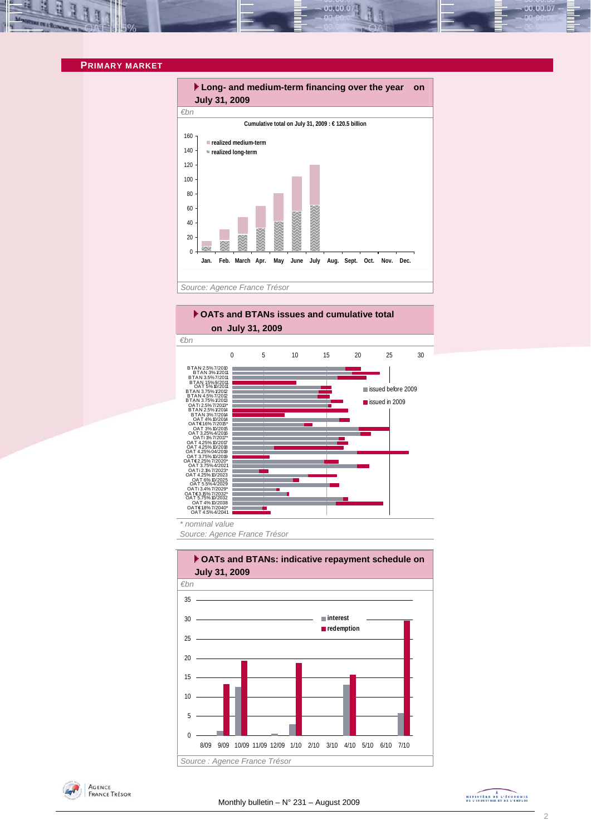#### **PRIMARY MARKET**



00.00.0

#### **▶ OATs and BTANs issues and cumulative total on July 31, 2009**



*\* nominal value* 

*Source: Agence France Trésor* 



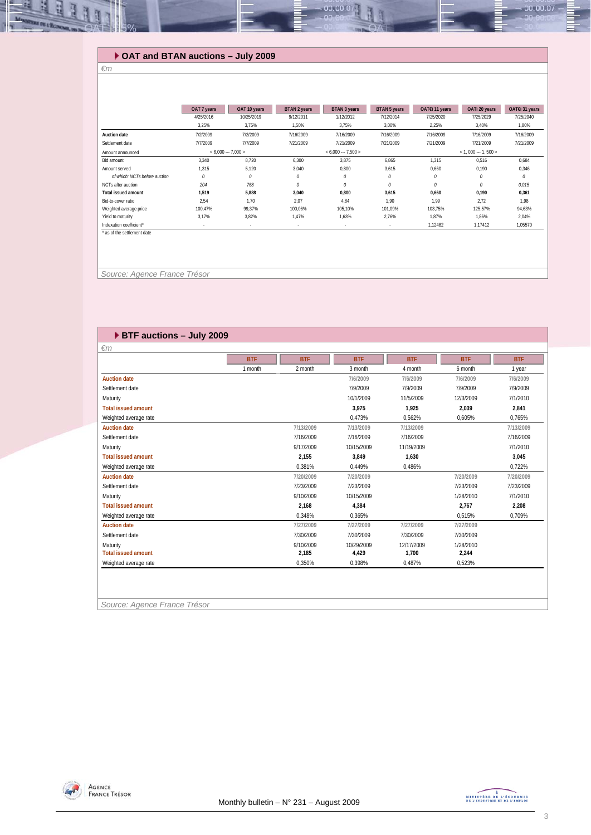## **OAT and BTAN auctions – July 2009**

#### *€m*

11

|                               | OAT 7 years | OAT 10 years         | BTAN 2 years | <b>BTAN 3 years</b> | <b>BTAN 5 years</b> | OAT€i 11 years | OATi 20 years       | OAT€i 31 years |
|-------------------------------|-------------|----------------------|--------------|---------------------|---------------------|----------------|---------------------|----------------|
|                               | 4/25/2016   | 10/25/2019           | 9/12/2011    | 1/12/2012           | 7/12/2014           | 7/25/2020      | 7/25/2029           | 7/25/2040      |
|                               | 3,25%       | 3,75%                | 1,50%        | 3,75%               | 3,00%               | 2,25%          | 3,40%               | 1,80%          |
| Auction date                  | 7/2/2009    | 7/2/2009             | 7/16/2009    | 7/16/2009           | 7/16/2009           | 7/16/2009      | 7/16/2009           | 7/16/2009      |
| Settlement date               | 7/7/2009    | 7/7/2009             | 7/21/2009    | 7/21/2009           | 7/21/2009           | 7/21/2009      | 7/21/2009           | 7/21/2009      |
| Amount announced              |             | $< 6.000 -- 7.000 >$ |              | $< 6.000 - 7.500 >$ |                     |                | $< 1.000 - 1.500 >$ |                |
| Bid amount                    | 3,340       | 8.720                | 6,300        | 3.875               | 6.865               | 1.315          | 0,516               | 0,684          |
| Amount served                 | 1,315       | 5,120                | 3,040        | 0,800               | 3,615               | 0,660          | 0,190               | 0,346          |
| of which: NCTs before auction | 0           | 0                    | 0            | 0                   | 0                   | 0              | 0                   | 0              |
| NCTs after auction            | 204         | 768                  | 0            | $\theta$            | $\mathcal O$        | 0              | 0                   | 0,015          |
| <b>Total issued amount</b>    | 1,519       | 5,888                | 3,040        | 0,800               | 3,615               | 0,660          | 0,190               | 0,361          |
| Bid-to-cover ratio            | 2.54        | 1.70                 | 2.07         | 4,84                | 1.90                | 1.99           | 2,72                | 1.98           |
| Weighted average price        | 100,47%     | 99,37%               | 100,06%      | 105,10%             | 101.09%             | 103,75%        | 125,57%             | 94,63%         |
| Yield to maturity             | 3,17%       | 3,82%                | 1.47%        | 1,63%               | 2,76%               | 1,87%          | 1,86%               | 2,04%          |
| Indexation coefficient*       | $\sim$      | $\sim$               | $\sim$       | $\sim$              | $\sim$              | 1,12482        | 1.17412             | 1,05570        |
| * as of the settlement date   |             |                      |              |                     |                     |                |                     |                |
|                               |             |                      |              |                     |                     |                |                     |                |
|                               |             |                      |              |                     |                     |                |                     |                |

00.00.0

 *Source: Agence France Trésor* 

|                            | <b>BTF</b> | <b>BTF</b> | <b>BTF</b> | <b>BTF</b> | <b>BTF</b> | <b>BTF</b> |
|----------------------------|------------|------------|------------|------------|------------|------------|
|                            | 1 month    | 2 month    | 3 month    | 4 month    | 6 month    | 1 year     |
| <b>Auction date</b>        |            |            | 7/6/2009   | 7/6/2009   | 7/6/2009   | 7/6/2009   |
| Settlement date            |            |            | 7/9/2009   | 7/9/2009   | 7/9/2009   | 7/9/2009   |
| Maturity                   |            |            | 10/1/2009  | 11/5/2009  | 12/3/2009  | 7/1/2010   |
| <b>Total issued amount</b> |            |            | 3.975      | 1.925      | 2,039      | 2,841      |
| Weighted average rate      |            |            | 0.473%     | 0.562%     | 0.605%     | 0.765%     |
| <b>Auction date</b>        |            | 7/13/2009  | 7/13/2009  | 7/13/2009  |            | 7/13/2009  |
| Settlement date            |            | 7/16/2009  | 7/16/2009  | 7/16/2009  |            | 7/16/2009  |
| Maturity                   |            | 9/17/2009  | 10/15/2009 | 11/19/2009 |            | 7/1/2010   |
| <b>Total issued amount</b> |            | 2,155      | 3.849      | 1,630      |            | 3,045      |
| Weighted average rate      |            | 0,381%     | 0.449%     | 0,486%     |            | 0,722%     |
| <b>Auction date</b>        |            | 7/20/2009  | 7/20/2009  |            | 7/20/2009  | 7/20/2009  |
| Settlement date            |            | 7/23/2009  | 7/23/2009  |            | 7/23/2009  | 7/23/2009  |
| Maturity                   |            | 9/10/2009  | 10/15/2009 |            | 1/28/2010  | 7/1/2010   |
| <b>Total issued amount</b> |            | 2.168      | 4,384      |            | 2,767      | 2,208      |
| Weighted average rate      |            | 0.348%     | 0.365%     |            | 0.515%     | 0.709%     |
| <b>Auction date</b>        |            | 7/27/2009  | 7/27/2009  | 7/27/2009  | 7/27/2009  |            |
| Settlement date            |            | 7/30/2009  | 7/30/2009  | 7/30/2009  | 7/30/2009  |            |
| Maturity                   |            | 9/10/2009  | 10/29/2009 | 12/17/2009 | 1/28/2010  |            |
| <b>Total issued amount</b> |            | 2,185      | 4,429      | 1,700      | 2,244      |            |
| Weighted average rate      |            | 0,350%     | 0,398%     | 0,487%     | 0,523%     |            |

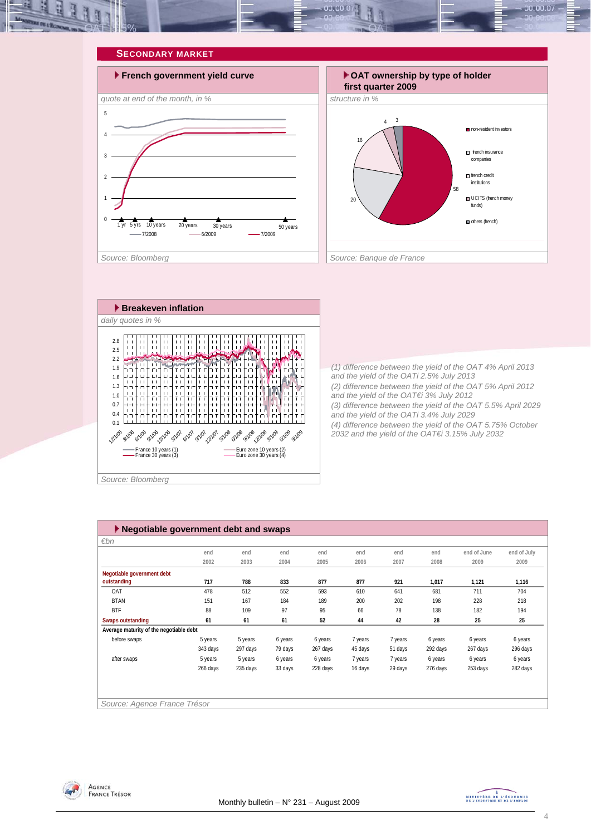







*(1) difference between the yield of the OAT 4% April 2013 and the yield of the OATi 2.5% July 2013 (2) difference between the yield of the OAT 5% April 2012 and the yield of the OAT€i 3% July 2012 (3) difference between the yield of the OAT 5.5% April 2029 and the yield of the OATi 3.4% July 2029 (4) difference between the yield of the OAT 5.75% October 2032 and the yield of the OAT€i 3.15% July 2032* 

| Negotiable government debt and swaps    |          |          |         |          |         |         |          |             |             |
|-----------------------------------------|----------|----------|---------|----------|---------|---------|----------|-------------|-------------|
| $\varepsilon$ bn                        |          |          |         |          |         |         |          |             |             |
|                                         | end      | end      | end     | end      | end     | end     | end      | end of June | end of July |
|                                         | 2002     | 2003     | 2004    | 2005     | 2006    | 2007    | 2008     | 2009        | 2009        |
| Negotiable government debt              |          |          |         |          |         |         |          |             |             |
| outstanding                             | 717      | 788      | 833     | 877      | 877     | 921     | 1,017    | 1,121       | 1,116       |
| OAT                                     | 478      | 512      | 552     | 593      | 610     | 641     | 681      | 711         | 704         |
| <b>BTAN</b>                             | 151      | 167      | 184     | 189      | 200     | 202     | 198      | 228         | 218         |
| <b>BTF</b>                              | 88       | 109      | 97      | 95       | 66      | 78      | 138      | 182         | 194         |
| <b>Swaps outstanding</b>                | 61       | 61       | 61      | 52       | 44      | 42      | 28       | 25          | 25          |
| Average maturity of the negotiable debt |          |          |         |          |         |         |          |             |             |
| before swaps                            | 5 years  | 5 years  | 6 years | 6 years  | 7 years | 7 years | 6 years  | 6 years     | 6 years     |
|                                         | 343 days | 297 days | 79 days | 267 days | 45 days | 51 days | 292 days | 267 days    | 296 days    |
| after swaps                             | 5 years  | 5 years  | 6 years | 6 years  | 7 years | 7 years | 6 years  | 6 years     | 6 years     |
|                                         | 266 days | 235 days | 33 days | 228 days | 16 days | 29 days | 276 days | 253 days    | 282 days    |
|                                         |          |          |         |          |         |         |          |             |             |
|                                         |          |          |         |          |         |         |          |             |             |
| Source: Agence France Trésor            |          |          |         |          |         |         |          |             |             |

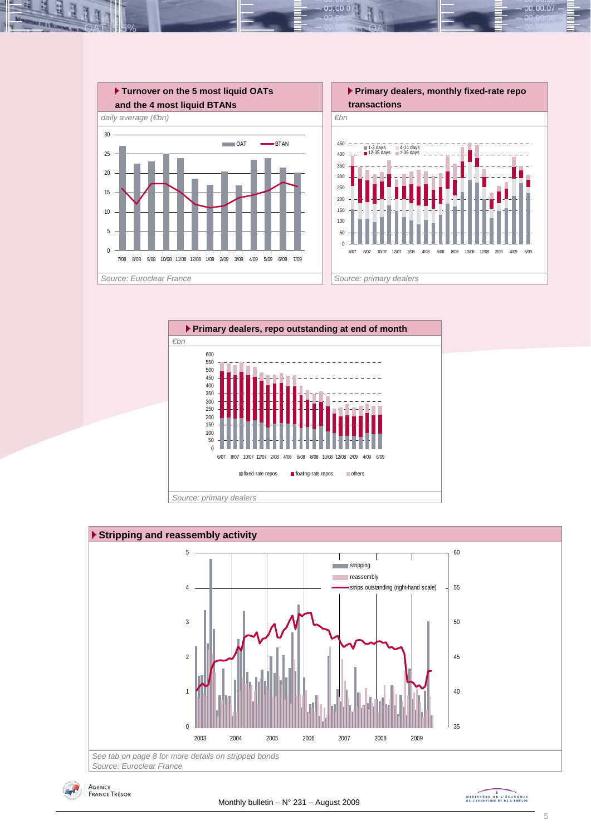

 $00.00.0$ 







MINISTÈRE DE L'ÉCONOMIE<br>DE L'INDUSTRIE ET DE L'EMPLOI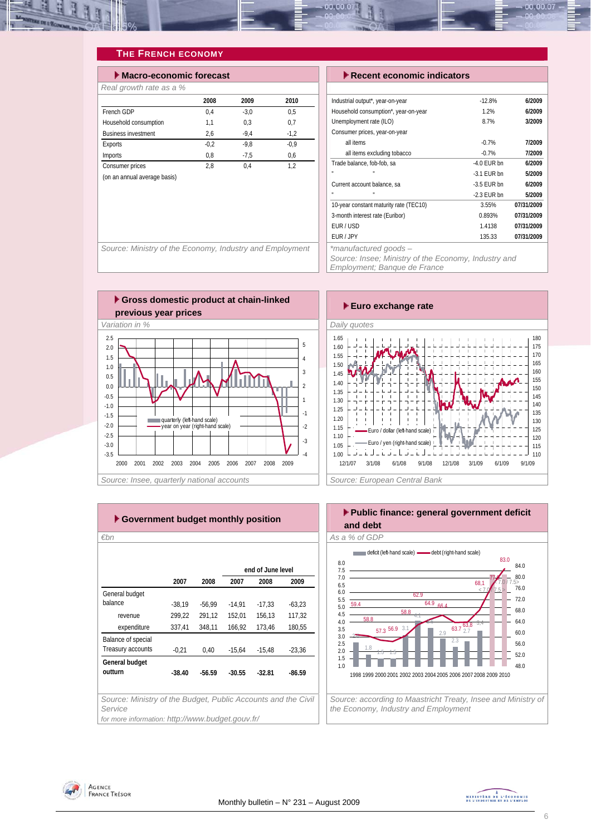

## **THE FRENCH ECONOMY**

| $\blacktriangleright$ Macro-economic forecast |        |        |        |  |  |  |  |  |
|-----------------------------------------------|--------|--------|--------|--|--|--|--|--|
| Real growth rate as a %                       |        |        |        |  |  |  |  |  |
|                                               | 2008   | 2009   | 2010   |  |  |  |  |  |
| French GDP                                    | 0.4    | $-3.0$ | 0.5    |  |  |  |  |  |
| Household consumption                         | 1,1    | 0.3    | 0.7    |  |  |  |  |  |
| <b>Business investment</b>                    | 2,6    | $-9.4$ | $-1.2$ |  |  |  |  |  |
| Exports                                       | $-0.2$ | $-9.8$ | $-0.9$ |  |  |  |  |  |
| <b>Imports</b>                                | 0.8    | $-7.5$ | 0.6    |  |  |  |  |  |
| Consumer prices                               | 2.8    | 0.4    | 1.2    |  |  |  |  |  |
| (on an annual average basis)                  |        |        |        |  |  |  |  |  |
|                                               |        |        |        |  |  |  |  |  |

#### **Execent economic indicators**

| Industrial output*, year-on-year       | $-12.8%$      | 6/2009     |
|----------------------------------------|---------------|------------|
| Household consumption*, year-on-year   | 1.2%          | 6/2009     |
| Unemployment rate (ILO)                | 8.7%          | 3/2009     |
| Consumer prices, year-on-year          |               |            |
| all items                              | $-0.7%$       | 7/2009     |
| all items excluding tobacco            | $-0.7%$       | 7/2009     |
| Trade balance, fob-fob, sa             | $-4.0$ FUR bn | 6/2009     |
| п                                      | $-3.1$ FUR bn | 5/2009     |
| Current account balance, sa            | $-3.5$ FUR bn | 6/2009     |
| п<br>u                                 | $-2.3$ EUR bn | 5/2009     |
| 10-year constant maturity rate (TEC10) | 3.55%         | 07/31/2009 |
| 3-month interest rate (Euribor)        | 0.893%        | 07/31/2009 |
| EUR / USD                              | 1.4138        | 07/31/2009 |
| EUR / JPY                              | 135.33        | 07/31/2009 |
| *manufactured goods -                  |               |            |

Source: Ministry of the Economy, Industry and Employment

*Source: Insee; Ministry of the Economy, Industry and Employment; Banque de France* 





| ► Government budget monthly position                                     |          |          |          |                   |          |  |  |  |  |
|--------------------------------------------------------------------------|----------|----------|----------|-------------------|----------|--|--|--|--|
| €bn                                                                      |          |          |          |                   |          |  |  |  |  |
|                                                                          |          |          |          |                   |          |  |  |  |  |
|                                                                          |          |          |          | end of June level |          |  |  |  |  |
|                                                                          | 2007     | 2008     | 2007     | 2008              | 2009     |  |  |  |  |
| General budget                                                           |          |          |          |                   |          |  |  |  |  |
| balance                                                                  | $-38,19$ | $-56,99$ | $-14,91$ | $-17,33$          | $-63,23$ |  |  |  |  |
| revenue                                                                  | 299,22   | 291,12   | 152,01   | 156,13            | 117,32   |  |  |  |  |
| expenditure                                                              | 337,41   | 348,11   | 166,92   | 173,46            | 180,55   |  |  |  |  |
| Balance of special                                                       |          |          |          |                   |          |  |  |  |  |
| Treasury accounts                                                        | $-0,21$  | 0,40     | $-15,64$ | $-15,48$          | $-23,36$ |  |  |  |  |
| General budget                                                           |          |          |          |                   |          |  |  |  |  |
| outturn                                                                  | $-38.40$ | $-56.59$ | $-30.55$ | $-32.81$          | $-86.59$ |  |  |  |  |
|                                                                          |          |          |          |                   |          |  |  |  |  |
| Source: Ministry of the Budget, Public Accounts and the Civil<br>Service |          |          |          |                   |          |  |  |  |  |
| for more information: http://www.budget.gouv.fr/                         |          |          |          |                   |          |  |  |  |  |





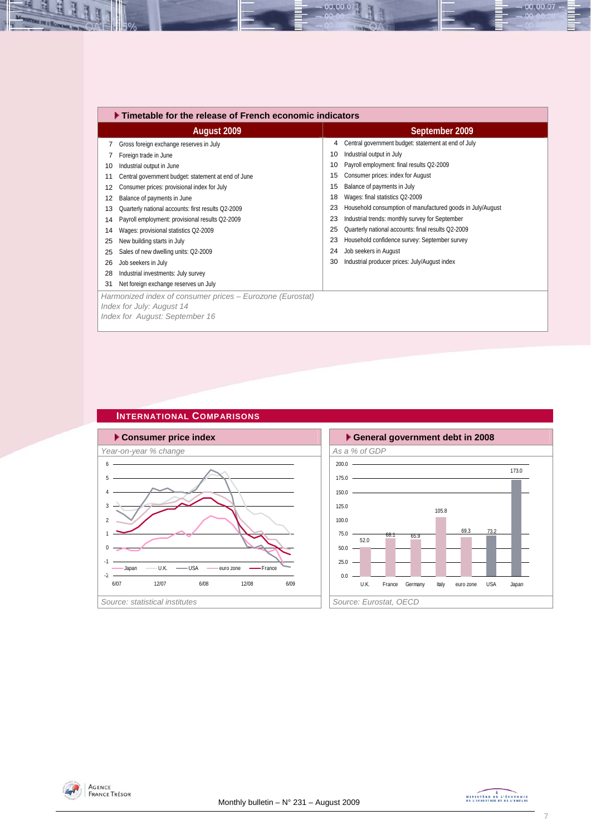|    | Timetable for the release of French economic indicators   |    |                                                            |  |  |  |  |  |
|----|-----------------------------------------------------------|----|------------------------------------------------------------|--|--|--|--|--|
|    | August 2009                                               |    | September 2009                                             |  |  |  |  |  |
| 7  | Gross foreign exchange reserves in July                   | 4  | Central government budget: statement at end of July        |  |  |  |  |  |
|    | Foreign trade in June                                     | 10 | Industrial output in July                                  |  |  |  |  |  |
| 10 | Industrial output in June                                 | 10 | Payroll employment: final results Q2-2009                  |  |  |  |  |  |
| 11 | Central government budget: statement at end of June       | 15 | Consumer prices: index for August                          |  |  |  |  |  |
| 12 | Consumer prices: provisional index for July               | 15 | Balance of payments in July                                |  |  |  |  |  |
| 12 | Balance of payments in June                               | 18 | Wages: final statistics Q2-2009                            |  |  |  |  |  |
| 13 | Quarterly national accounts: first results Q2-2009        | 23 | Household consumption of manufactured goods in July/August |  |  |  |  |  |
| 14 | Payroll employment: provisional results Q2-2009           | 23 | Industrial trends: monthly survey for September            |  |  |  |  |  |
| 14 | Wages: provisional statistics Q2-2009                     | 25 | Quarterly national accounts: final results Q2-2009         |  |  |  |  |  |
| 25 | New building starts in July                               | 23 | Household confidence survey: September survey              |  |  |  |  |  |
| 25 | Sales of new dwelling units: Q2-2009                      | 24 | Job seekers in August                                      |  |  |  |  |  |
| 26 | Job seekers in July                                       | 30 | Industrial producer prices: July/August index              |  |  |  |  |  |
| 28 | Industrial investments: July survey                       |    |                                                            |  |  |  |  |  |
| 31 | Net foreign exchange reserves un July                     |    |                                                            |  |  |  |  |  |
|    | Harmonized index of consumer prices - Eurozone (Eurostat) |    |                                                            |  |  |  |  |  |
|    | Index for July: August 14                                 |    |                                                            |  |  |  |  |  |
|    | Index for August: September 16                            |    |                                                            |  |  |  |  |  |

00.00.07

# **INTERNATIONAL COMPARISONS**





H

 $-00.00.07 -$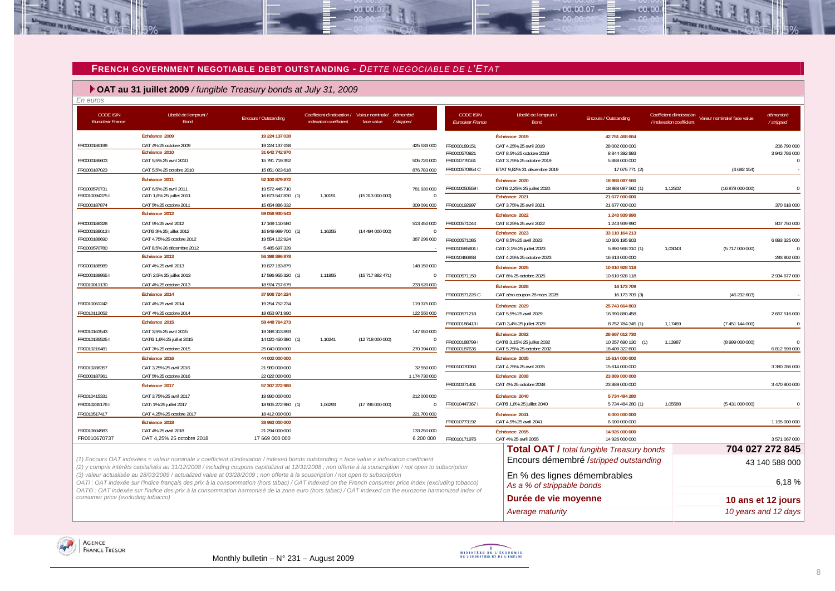#### **FRENCH GOVERNMENT NEGOTIABLE DEBT OUTSTANDING -** *DETTE NEGOCIABLE DE L'ETAT*

#### **OAT au 31 juillet 2009** */ fungible Treasury bonds at July 31, 2009*

| <b>CODE ISIN</b><br>Euroclear France | Libellé de l'emprunt /<br>Bond        | Encours / Outstanding            | indexation coefficient | Coefficient d'indexation / Valeur nominale/ démembré<br>/stripped<br>face value |                         | <b>CODE ISIN</b><br><b>Euroclear France</b> | Libellé de l'emprunt /<br>Bond                   | Encours / Outstanding                | Coefficient d'indexation<br>/ indexation coefficient | Valeur nominale/ face value | démembré<br>/stripped |
|--------------------------------------|---------------------------------------|----------------------------------|------------------------|---------------------------------------------------------------------------------|-------------------------|---------------------------------------------|--------------------------------------------------|--------------------------------------|------------------------------------------------------|-----------------------------|-----------------------|
|                                      | Échéance 2009                         | 19 224 137 038                   |                        |                                                                                 |                         |                                             | Échéance 2019                                    | 42 751 468 664                       |                                                      |                             |                       |
| FR0000186199                         | OAT 4% 25 octobre 2009                | 19 224 137 038                   |                        |                                                                                 | 425 533 000             | FR0000189151                                | OAT 4.25% 25 avril 2019                          | 28 002 000 000                       |                                                      |                             | 206 790 000           |
|                                      | Échéance 2010                         | 31 642 742 970                   |                        |                                                                                 |                         | FR0000570921                                | OAT 8,5% 25 octobre 2019                         | 8 844 392 893                        |                                                      |                             | 3 943 786 000         |
| FR0000186603                         | OAT 5,5% 25 avril 2010                | 15 791 719 352                   |                        |                                                                                 | 505 720 000             | FR0010776161                                | OAT 3,75% 25 octobre 2019                        | 5 888 000 000                        |                                                      |                             | $\mathbf{0}$          |
| FR0000187023                         | OAT 5,5% 25 octobre 2010              | 15 851 023 618                   |                        |                                                                                 | 876 783 000             | FR0000570954 C                              | ETAT 9,82% 31 décembre 2019                      | 17 075 771 (2)                       |                                                      | (6692154)                   |                       |
|                                      | Échéance 2011                         | 52 100 879 872                   |                        |                                                                                 |                         |                                             | Échéance 2020                                    | 18 988 087 560                       |                                                      |                             |                       |
| FR0000570731                         | OAT 6,5% 25 avril 2011                | 19 572 445 710                   |                        |                                                                                 | 781 930 000             | FR00100505591                               | OATEI 2,25% 25 juillet 2020                      | 18 988 087 560 (1)                   | 1,12502                                              | (16 878 000 000)            | $\Omega$              |
| FR00100943751                        | OATi 1,6% 25 juillet 2011             | 16 873 547 830 (1)               | 1.10191                | (15 313 000 000)                                                                | $\Omega$                |                                             | Échéance 2021                                    | 21 677 000 000                       |                                                      |                             |                       |
| FR0000187874                         | OAT 5% 25 octobre 2011                | 15 654 886 332                   |                        |                                                                                 | 309 091 000             | FR0010192997                                | OAT 3,75% 25 avril 2021                          | 21 677 000 000                       |                                                      |                             | 370 618 000           |
|                                      | Échéance 2012                         | 59 058 930 543                   |                        |                                                                                 |                         |                                             | Échéance 2022                                    | 1 243 939 990                        |                                                      |                             |                       |
| FR0000188328                         | OAT 5% 25 avril 2012                  | 17 169 110 580                   |                        |                                                                                 | 513 450 000             | FR0000571044                                | OAT 8,25% 25 avril 2022                          | 1 243 939 990                        |                                                      |                             | 807 750 000           |
| FR00001880131                        | OATEI 3% 25 juillet 2012              | 16 849 999 700 (1)               | 1,16255                | (14 494 000 000)                                                                | $\Omega$                |                                             | Échéance 2023                                    | 33 110 164 213                       |                                                      |                             |                       |
| FR0000188690                         | OAT 4,75% 25 octobre 2012             | 19 554 122 924                   |                        |                                                                                 | 387 296 000             | FR0000571085                                | OAT 8,5% 25 avril 2023                           | 10 606 195 903                       |                                                      |                             | 6 893 325 000         |
| FR0000570780                         | OAT 8,5% 26 décembre 2012             | 5 485 697 339                    |                        |                                                                                 |                         | FR0010585901 I                              | OATi 2,1% 25 juillet 2023                        | 5 890 968 310 (1)                    | 1,03043                                              | (5717000000)                |                       |
|                                      | Échéance 2013                         | 56 398 896 878                   |                        |                                                                                 |                         | FR0010466938                                | OAT 4,25% 25 octobre 2023                        | 16 613 000 000                       |                                                      |                             | 293 902 000           |
| FR0000188989                         | OAT 4% 25 avril 2013                  | 19 827 183 879                   |                        |                                                                                 | 148 150 000             |                                             | Échéance 2025                                    | 10 610 928 118                       |                                                      |                             |                       |
| FR00001889551                        | OATi 2,5% 25 juillet 2013             | 17 596 955 320 (1)               | 1,11955                | (15717882471)                                                                   | $\mathbf{0}$            | FR0000571150                                | OAT 6% 25 octobre 2025                           | 10 610 928 118                       |                                                      |                             | 2 934 677 000         |
| FR0010011130                         | OAT 4% 25 octobre 2013                | 18 974 757 679                   |                        |                                                                                 | 233 620 000             |                                             | Échéance 2028                                    | 16 173 709                           |                                                      |                             |                       |
|                                      | Échéance 2014                         | 37 908 724 224                   |                        |                                                                                 |                         | FR0000571226 C                              | OAT zéro coupon 28 mars 2028                     | 16 173 709 (3)                       |                                                      | (46232603)                  |                       |
| FR0010061242                         | OAT 4% 25 avril 2014                  | 19 254 752 234                   |                        |                                                                                 | 119 375 000             |                                             | Échéance 2029                                    | 25 743 664 803                       |                                                      |                             |                       |
| FR0010112052                         | OAT 4% 25 octobre 2014                | 18 653 971 990                   |                        |                                                                                 | 122 550 000             | FR0000571218                                | OAT 5,5% 25 avril 2029                           | 16 990 880 458                       |                                                      |                             | 2 667 516 000         |
|                                      | Échéance 2015                         | 58 448 764 273                   |                        |                                                                                 |                         | FR00001864131                               | OATi 3,4% 25 juillet 2029                        | 8752784345 (1)                       | 1,17469                                              | (7451144000)                | $\Omega$              |
| FR0010163543                         | OAT 3,5% 25 avril 2015                | 19 388 313 893                   |                        |                                                                                 | 147 650 000             |                                             |                                                  |                                      |                                                      |                             |                       |
| FR00101355251                        | OATEi 1,6% 25 juillet 2015            | 14 020 450 380 (1)               | 1,10241                | (12 718 000 000)                                                                | $\boldsymbol{0}$        | FR00001887991                               | Échéance 2032<br>OAT€i 3,15% 25 juillet 2032     | 28 667 012 730                       |                                                      |                             |                       |
| FR0010216481                         | OAT 3% 25 octobre 2015                | 25 040 000 000                   |                        |                                                                                 | 270 394 000             | FR0000187635                                | OAT 5,75% 25 octobre 2032                        | 10 257 690 130 (1)<br>18 409 322 600 | 1,13987                                              | (8999000000)                | 6 812 599 000         |
|                                      | Échéance 2016                         | 44 002 000 000                   |                        |                                                                                 |                         |                                             | Échéance 2035                                    | 15 614 000 000                       |                                                      |                             |                       |
| FR0010288357                         | OAT 3,25% 25 avril 2016               | 21 980 000 000                   |                        |                                                                                 | 32 550 000              | FR0010070060                                | OAT 4,75% 25 avril 2035                          | 15 614 000 000                       |                                                      |                             | 3 380 786 000         |
| FR0000187361                         | OAT 5% 25 octobre 2016                | 22 022 000 000                   |                        |                                                                                 | 1 174 730 000           |                                             | Échéance 2038                                    | 23 889 000 000                       |                                                      |                             |                       |
|                                      | Échéance 2017                         | 57 307 272 980                   |                        |                                                                                 |                         | FR0010371401                                | OAT 4% 25 octobre 2038                           | 23 889 000 000                       |                                                      |                             | 3 470 800 000         |
|                                      |                                       |                                  |                        |                                                                                 |                         |                                             |                                                  |                                      |                                                      |                             |                       |
| FR0010415331<br>FR00102351761        | OAT 3,75% 25 avril 2017               | 19 990 000 000                   |                        | (17 786 000 000)                                                                | 212 000 000<br>$\Omega$ | FR00104473671                               | Échéance 2040<br>OATEi 1,8% 25 juillet 2040      | 5 734 484 280<br>5 734 484 280 (1)   | 1.05588                                              | (5431000000)                | $\Omega$              |
|                                      | OATi 1% 25 juillet 2017               | 18 905 272 980 (1)               | 1,06293                |                                                                                 |                         |                                             |                                                  |                                      |                                                      |                             |                       |
| FR0010517417                         | OAT 4,25% 25 octobre 2017             | 18 412 000 000<br>38 963 000 000 |                        |                                                                                 | 221 700 000             |                                             | Échéance 2041                                    | 6 000 000 000                        |                                                      |                             |                       |
|                                      | Échéance 2018<br>OAT 4% 25 avril 2018 |                                  |                        |                                                                                 | 133 250 000             | FR0010773192                                | OAT 4,5% 25 avril 2041                           | 6 000 000 000                        |                                                      |                             | 1 165 000 000         |
| FR0010604983<br>FR0010670737         | OAT 4,25% 25 octobre 2018             | 21 294 000 000<br>17 669 000 000 |                        |                                                                                 | 6 200 000               | FR0010171975                                | Échéance 2055<br>OAT 4% 25 avril 2055            | 14 926 000 000<br>14 926 000 000     |                                                      |                             | 3 571 067 000         |
|                                      |                                       |                                  |                        |                                                                                 |                         |                                             | <b>Total OAT / total fungible Treasury bonds</b> |                                      |                                                      |                             | 704 027 272 845       |

 $00,00,0$ 

*(1) Encours OAT indexées = valeur nominale x coefficient d'indexation / indexed bonds outstanding = face value x indexation coefficient (2) y compris intérêts capitalisés au 31/12/2008 / including coupons capitalized at 12/31/2008 ; non offerte à la souscription / not open to subscription (3) valeur actualisée au 28/03/2009 / actualized value at 03/28/2009 ; non offerte à la souscription / not open to subscription*

*OATi : OAT indexée sur l'indice français des prix à la consommation (hors tabac) / OAT indexed on the French consumer price index (excluding tobacco) OAT€i : OAT indexée sur l'indice des prix à la consommation harmonisé de la zone euro (hors tabac) / OAT indexed on the eurozone harmonized index of consumer price (excluding tobacco)*